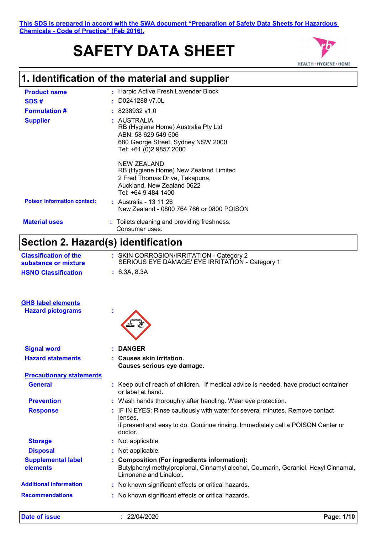# **SAFETY DATA SHEET**



# **1. Identification of the material and supplier**

| <b>Product name</b>                                  | : Harpic Active Fresh Lavender Block                                                                                                        |  |
|------------------------------------------------------|---------------------------------------------------------------------------------------------------------------------------------------------|--|
| SDS#                                                 | D0241288 v7.0L<br>٠                                                                                                                         |  |
| <b>Formulation #</b>                                 | 8238932 v1.0                                                                                                                                |  |
| <b>Supplier</b>                                      | : AUSTRALIA<br>RB (Hygiene Home) Australia Pty Ltd<br>ABN: 58 629 549 506<br>680 George Street, Sydney NSW 2000<br>Tel: +61 (0)2 9857 2000  |  |
|                                                      | NEW ZEALAND<br>RB (Hygiene Home) New Zealand Limited<br>2 Fred Thomas Drive, Takapuna,<br>Auckland, New Zealand 0622<br>Tel: +64 9 484 1400 |  |
| <b>Poison Information contact:</b>                   | : Australia - 13 11 26<br>New Zealand - 0800 764 766 or 0800 POISON                                                                         |  |
| <b>Material uses</b>                                 | : Toilets cleaning and providing freshness.<br>Consumer uses.                                                                               |  |
| Section 2. Hazard(s) identification                  |                                                                                                                                             |  |
| <b>Classification of the</b><br>substance or mixture | : SKIN CORROSION/IRRITATION - Category 2<br>SERIOUS EYE DAMAGE/ EYE IRRITATION - Category 1                                                 |  |
| <b>HSNO Classification</b>                           | : 6.3A, 8.3A                                                                                                                                |  |
|                                                      |                                                                                                                                             |  |

| <b>GHS label elements</b> |  |
|---------------------------|--|
| <b>Hazard pictograms</b>  |  |
|                           |  |



| <b>Signal word</b>                    | : DANGER                                                                                                                                                                                |
|---------------------------------------|-----------------------------------------------------------------------------------------------------------------------------------------------------------------------------------------|
| <b>Hazard statements</b>              | : Causes skin irritation.<br>Causes serious eye damage.                                                                                                                                 |
| <b>Precautionary statements</b>       |                                                                                                                                                                                         |
| <b>General</b>                        | : Keep out of reach of children. If medical advice is needed, have product container<br>or label at hand.                                                                               |
| <b>Prevention</b>                     | : Wash hands thoroughly after handling. Wear eye protection.                                                                                                                            |
| <b>Response</b>                       | : IF IN EYES: Rinse cautiously with water for several minutes. Remove contact<br>lenses.<br>if present and easy to do. Continue rinsing. Immediately call a POISON Center or<br>doctor. |
| <b>Storage</b>                        | : Not applicable.                                                                                                                                                                       |
| <b>Disposal</b>                       | : Not applicable.                                                                                                                                                                       |
| <b>Supplemental label</b><br>elements | : Composition (For ingredients information):<br>Butylphenyl methylpropional, Cinnamyl alcohol, Coumarin, Geraniol, Hexyl Cinnamal,<br>Limonene and Linalool.                            |
| <b>Additional information</b>         | : No known significant effects or critical hazards.                                                                                                                                     |

**Recommendations :** No known significant effects or critical hazards.

**Date of issue :** 22/04/2020 **Page: 1/10**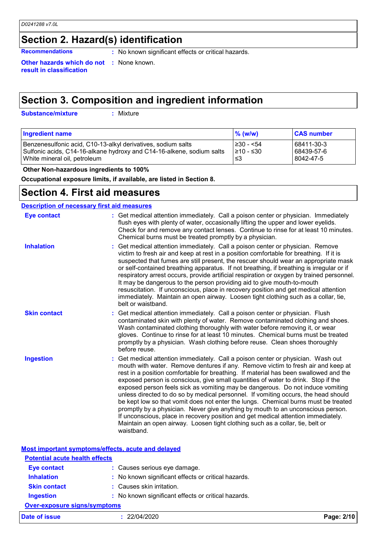# **Section 2. Hazard(s) identification**

**Recommendations :** No known significant effects or critical hazards.

**Other hazards which do not :** None known. **result in classification**

# **Section 3. Composition and ingredient information**

**Substance/mixture :**

: Mixture

| <b>Ingredient name</b>                                                | $\frac{9}{6}$ (w/w) | <b>CAS number</b> |
|-----------------------------------------------------------------------|---------------------|-------------------|
| Benzenesulfonic acid, C10-13-alkyl derivatives, sodium salts          | ≥30 - <54           | 68411-30-3        |
| Sulfonic acids, C14-16-alkane hydroxy and C14-16-alkene, sodium salts | 1≥10 - ≤30          | 68439-57-6        |
| White mineral oil, petroleum                                          | ו≥ ≥                | 8042-47-5         |

 **Other Non-hazardous ingredients to 100%**

**Occupational exposure limits, if available, are listed in Section 8.**

## **Section 4. First aid measures**

## **Description of necessary first aid measures**

| <b>Eye contact</b>  | : Get medical attention immediately. Call a poison center or physician. Immediately<br>flush eyes with plenty of water, occasionally lifting the upper and lower eyelids.<br>Check for and remove any contact lenses. Continue to rinse for at least 10 minutes.<br>Chemical burns must be treated promptly by a physician.                                                                                                                                                                                                                                                                                                                                                                                                                                                                                                                                                                |
|---------------------|--------------------------------------------------------------------------------------------------------------------------------------------------------------------------------------------------------------------------------------------------------------------------------------------------------------------------------------------------------------------------------------------------------------------------------------------------------------------------------------------------------------------------------------------------------------------------------------------------------------------------------------------------------------------------------------------------------------------------------------------------------------------------------------------------------------------------------------------------------------------------------------------|
| <b>Inhalation</b>   | Get medical attention immediately. Call a poison center or physician. Remove<br>t.<br>victim to fresh air and keep at rest in a position comfortable for breathing. If it is<br>suspected that fumes are still present, the rescuer should wear an appropriate mask<br>or self-contained breathing apparatus. If not breathing, if breathing is irregular or if<br>respiratory arrest occurs, provide artificial respiration or oxygen by trained personnel.<br>It may be dangerous to the person providing aid to give mouth-to-mouth<br>resuscitation. If unconscious, place in recovery position and get medical attention<br>immediately. Maintain an open airway. Loosen tight clothing such as a collar, tie,<br>belt or waistband.                                                                                                                                                  |
| <b>Skin contact</b> | Get medical attention immediately. Call a poison center or physician. Flush<br>contaminated skin with plenty of water. Remove contaminated clothing and shoes.<br>Wash contaminated clothing thoroughly with water before removing it, or wear<br>gloves. Continue to rinse for at least 10 minutes. Chemical burns must be treated<br>promptly by a physician. Wash clothing before reuse. Clean shoes thoroughly<br>before reuse.                                                                                                                                                                                                                                                                                                                                                                                                                                                        |
| <b>Ingestion</b>    | Get medical attention immediately. Call a poison center or physician. Wash out<br>t.<br>mouth with water. Remove dentures if any. Remove victim to fresh air and keep at<br>rest in a position comfortable for breathing. If material has been swallowed and the<br>exposed person is conscious, give small quantities of water to drink. Stop if the<br>exposed person feels sick as vomiting may be dangerous. Do not induce vomiting<br>unless directed to do so by medical personnel. If vomiting occurs, the head should<br>be kept low so that vomit does not enter the lungs. Chemical burns must be treated<br>promptly by a physician. Never give anything by mouth to an unconscious person.<br>If unconscious, place in recovery position and get medical attention immediately.<br>Maintain an open airway. Loosen tight clothing such as a collar, tie, belt or<br>waistband. |

|                                       | Most important symptoms/effects, acute and delayed  |            |
|---------------------------------------|-----------------------------------------------------|------------|
| <b>Potential acute health effects</b> |                                                     |            |
| <b>Eye contact</b>                    | : Causes serious eye damage.                        |            |
| <b>Inhalation</b>                     | : No known significant effects or critical hazards. |            |
| <b>Skin contact</b>                   | : Causes skin irritation.                           |            |
| <b>Ingestion</b>                      | : No known significant effects or critical hazards. |            |
| <b>Over-exposure signs/symptoms</b>   |                                                     |            |
| Date of issue                         | : 22/04/2020                                        | Page: 2/10 |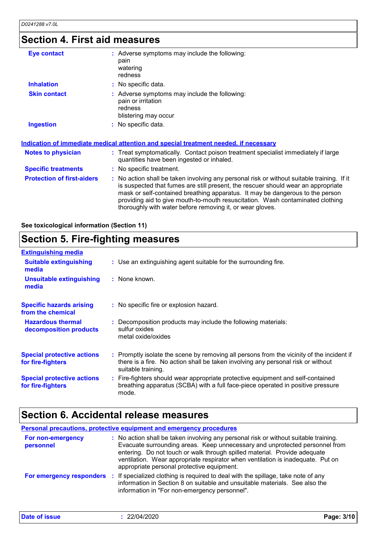# **Section 4. First aid measures**

| <b>Eye contact</b>                | : Adverse symptoms may include the following:<br>pain<br>watering<br>redness                                                                                                                                                                                                                                                                                                                                    |
|-----------------------------------|-----------------------------------------------------------------------------------------------------------------------------------------------------------------------------------------------------------------------------------------------------------------------------------------------------------------------------------------------------------------------------------------------------------------|
| <b>Inhalation</b>                 | : No specific data.                                                                                                                                                                                                                                                                                                                                                                                             |
| <b>Skin contact</b>               | : Adverse symptoms may include the following:<br>pain or irritation<br>redness<br>blistering may occur                                                                                                                                                                                                                                                                                                          |
| <b>Ingestion</b>                  | : No specific data.                                                                                                                                                                                                                                                                                                                                                                                             |
|                                   | Indication of immediate medical attention and special treatment needed, if necessary                                                                                                                                                                                                                                                                                                                            |
| Notes to physician                | : Treat symptomatically. Contact poison treatment specialist immediately if large<br>quantities have been ingested or inhaled.                                                                                                                                                                                                                                                                                  |
| <b>Specific treatments</b>        | : No specific treatment.                                                                                                                                                                                                                                                                                                                                                                                        |
| <b>Protection of first-aiders</b> | : No action shall be taken involving any personal risk or without suitable training. If it<br>is suspected that fumes are still present, the rescuer should wear an appropriate<br>mask or self-contained breathing apparatus. It may be dangerous to the person<br>providing aid to give mouth-to-mouth resuscitation. Wash contaminated clothing<br>thoroughly with water before removing it, or wear gloves. |

**See toxicological information (Section 11)**

# **Section 5. Fire-fighting measures**

| <b>Extinguishing media</b>                             |                                                                                                                                                                                                     |
|--------------------------------------------------------|-----------------------------------------------------------------------------------------------------------------------------------------------------------------------------------------------------|
| <b>Suitable extinguishing</b><br>media                 | : Use an extinguishing agent suitable for the surrounding fire.                                                                                                                                     |
| <b>Unsuitable extinguishing</b><br>media               | $:$ None known.                                                                                                                                                                                     |
| <b>Specific hazards arising</b><br>from the chemical   | : No specific fire or explosion hazard.                                                                                                                                                             |
| <b>Hazardous thermal</b><br>decomposition products     | : Decomposition products may include the following materials:<br>sulfur oxides<br>metal oxide/oxides                                                                                                |
| <b>Special protective actions</b><br>for fire-fighters | : Promptly isolate the scene by removing all persons from the vicinity of the incident if<br>there is a fire. No action shall be taken involving any personal risk or without<br>suitable training. |
| <b>Special protective actions</b><br>for fire-fighters | : Fire-fighters should wear appropriate protective equipment and self-contained<br>breathing apparatus (SCBA) with a full face-piece operated in positive pressure<br>mode.                         |

# **Section 6. Accidental release measures**

|                                | <b>Personal precautions, protective equipment and emergency procedures</b>                                                                                                                                                                                                                                                                                                        |  |
|--------------------------------|-----------------------------------------------------------------------------------------------------------------------------------------------------------------------------------------------------------------------------------------------------------------------------------------------------------------------------------------------------------------------------------|--|
| For non-emergency<br>personnel | : No action shall be taken involving any personal risk or without suitable training.<br>Evacuate surrounding areas. Keep unnecessary and unprotected personnel from<br>entering. Do not touch or walk through spilled material. Provide adequate<br>ventilation. Wear appropriate respirator when ventilation is inadequate. Put on<br>appropriate personal protective equipment. |  |
| For emergency responders       | : If specialized clothing is required to deal with the spillage, take note of any<br>information in Section 8 on suitable and unsuitable materials. See also the<br>information in "For non-emergency personnel".                                                                                                                                                                 |  |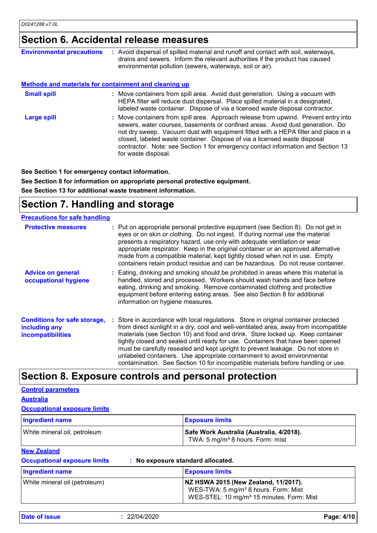# **Section 6. Accidental release measures**

| <b>Environmental precautions</b>                      | : Avoid dispersal of spilled material and runoff and contact with soil, waterways,<br>drains and sewers. Inform the relevant authorities if the product has caused<br>environmental pollution (sewers, waterways, soil or air).                                                                                                                                                                                                                    |
|-------------------------------------------------------|----------------------------------------------------------------------------------------------------------------------------------------------------------------------------------------------------------------------------------------------------------------------------------------------------------------------------------------------------------------------------------------------------------------------------------------------------|
| Methods and materials for containment and cleaning up |                                                                                                                                                                                                                                                                                                                                                                                                                                                    |
| <b>Small spill</b>                                    | : Move containers from spill area. Avoid dust generation. Using a vacuum with<br>HEPA filter will reduce dust dispersal. Place spilled material in a designated,<br>labeled waste container. Dispose of via a licensed waste disposal contractor.                                                                                                                                                                                                  |
| <b>Large spill</b>                                    | : Move containers from spill area. Approach release from upwind. Prevent entry into<br>sewers, water courses, basements or confined areas. Avoid dust generation. Do<br>not dry sweep. Vacuum dust with equipment fitted with a HEPA filter and place in a<br>closed, labeled waste container. Dispose of via a licensed waste disposal<br>contractor. Note: see Section 1 for emergency contact information and Section 13<br>for waste disposal. |

**See Section 1 for emergency contact information.**

**See Section 8 for information on appropriate personal protective equipment. See Section 13 for additional waste treatment information.**

# **Section 7. Handling and storage**

| <b>Precautions for safe handling</b>                                             |                                                                                                                                                                                                                                                                                                                                                                                                                                                                                                                                                                                                     |
|----------------------------------------------------------------------------------|-----------------------------------------------------------------------------------------------------------------------------------------------------------------------------------------------------------------------------------------------------------------------------------------------------------------------------------------------------------------------------------------------------------------------------------------------------------------------------------------------------------------------------------------------------------------------------------------------------|
| <b>Protective measures</b>                                                       | : Put on appropriate personal protective equipment (see Section 8). Do not get in<br>eyes or on skin or clothing. Do not ingest. If during normal use the material<br>presents a respiratory hazard, use only with adequate ventilation or wear<br>appropriate respirator. Keep in the original container or an approved alternative<br>made from a compatible material, kept tightly closed when not in use. Empty<br>containers retain product residue and can be hazardous. Do not reuse container.                                                                                              |
| <b>Advice on general</b><br>occupational hygiene                                 | : Eating, drinking and smoking should be prohibited in areas where this material is<br>handled, stored and processed. Workers should wash hands and face before<br>eating, drinking and smoking. Remove contaminated clothing and protective<br>equipment before entering eating areas. See also Section 8 for additional<br>information on hygiene measures.                                                                                                                                                                                                                                       |
| <b>Conditions for safe storage,</b><br>including any<br><i>incompatibilities</i> | : Store in accordance with local regulations. Store in original container protected<br>from direct sunlight in a dry, cool and well-ventilated area, away from incompatible<br>materials (see Section 10) and food and drink. Store locked up. Keep container<br>tightly closed and sealed until ready for use. Containers that have been opened<br>must be carefully resealed and kept upright to prevent leakage. Do not store in<br>unlabeled containers. Use appropriate containment to avoid environmental<br>contamination. See Section 10 for incompatible materials before handling or use. |

## **Section 8. Exposure controls and personal protection**

## **Control parameters**

**Australia**

### **Occupational exposure limits**

**Occupational exposure limits** 

| <b>Ingredient name</b>       | <b>Exposure limits</b>                                                                   |
|------------------------------|------------------------------------------------------------------------------------------|
| White mineral oil, petroleum | Safe Work Australia (Australia, 4/2018).<br>TWA: 5 mg/m <sup>3</sup> 8 hours. Form: mist |

### **New Zealand**

| No exposure standard allocated. |  |
|---------------------------------|--|
|---------------------------------|--|

| <b>Ingredient name</b>        | <b>Exposure limits</b>                                                                                                                            |
|-------------------------------|---------------------------------------------------------------------------------------------------------------------------------------------------|
| White mineral oil (petroleum) | NZ HSWA 2015 (New Zealand, 11/2017).<br>WES-TWA: 5 mg/m <sup>3</sup> 8 hours. Form: Mist<br>WES-STEL: 10 mg/m <sup>3</sup> 15 minutes. Form: Mist |

**Date of issue :** 22/04/2020 **Page: 4/10**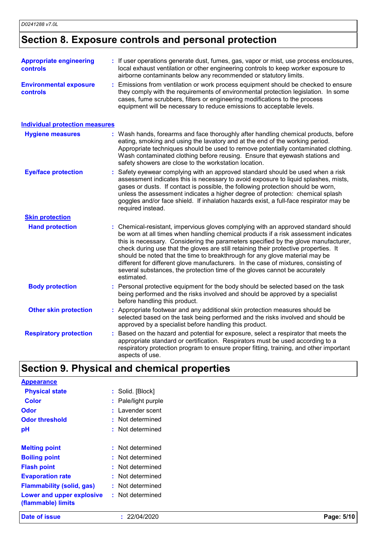# **Section 8. Exposure controls and personal protection**

| <b>Appropriate engineering</b><br>controls | : If user operations generate dust, fumes, gas, vapor or mist, use process enclosures,<br>local exhaust ventilation or other engineering controls to keep worker exposure to<br>airborne contaminants below any recommended or statutory limits.                                                                                                                                                                                                                                                                                                                                                                          |
|--------------------------------------------|---------------------------------------------------------------------------------------------------------------------------------------------------------------------------------------------------------------------------------------------------------------------------------------------------------------------------------------------------------------------------------------------------------------------------------------------------------------------------------------------------------------------------------------------------------------------------------------------------------------------------|
| <b>Environmental exposure</b><br>controls  | : Emissions from ventilation or work process equipment should be checked to ensure<br>they comply with the requirements of environmental protection legislation. In some<br>cases, fume scrubbers, filters or engineering modifications to the process<br>equipment will be necessary to reduce emissions to acceptable levels.                                                                                                                                                                                                                                                                                           |
| <b>Individual protection measures</b>      |                                                                                                                                                                                                                                                                                                                                                                                                                                                                                                                                                                                                                           |
| <b>Hygiene measures</b>                    | : Wash hands, forearms and face thoroughly after handling chemical products, before<br>eating, smoking and using the lavatory and at the end of the working period.<br>Appropriate techniques should be used to remove potentially contaminated clothing.<br>Wash contaminated clothing before reusing. Ensure that eyewash stations and<br>safety showers are close to the workstation location.                                                                                                                                                                                                                         |
| <b>Eye/face protection</b>                 | Safety eyewear complying with an approved standard should be used when a risk<br>assessment indicates this is necessary to avoid exposure to liquid splashes, mists,<br>gases or dusts. If contact is possible, the following protection should be worn,<br>unless the assessment indicates a higher degree of protection: chemical splash<br>goggles and/or face shield. If inhalation hazards exist, a full-face respirator may be<br>required instead.                                                                                                                                                                 |
| <b>Skin protection</b>                     |                                                                                                                                                                                                                                                                                                                                                                                                                                                                                                                                                                                                                           |
| <b>Hand protection</b>                     | : Chemical-resistant, impervious gloves complying with an approved standard should<br>be worn at all times when handling chemical products if a risk assessment indicates<br>this is necessary. Considering the parameters specified by the glove manufacturer,<br>check during use that the gloves are still retaining their protective properties. It<br>should be noted that the time to breakthrough for any glove material may be<br>different for different glove manufacturers. In the case of mixtures, consisting of<br>several substances, the protection time of the gloves cannot be accurately<br>estimated. |
| <b>Body protection</b>                     | : Personal protective equipment for the body should be selected based on the task<br>being performed and the risks involved and should be approved by a specialist<br>before handling this product.                                                                                                                                                                                                                                                                                                                                                                                                                       |
| <b>Other skin protection</b>               | : Appropriate footwear and any additional skin protection measures should be<br>selected based on the task being performed and the risks involved and should be<br>approved by a specialist before handling this product.                                                                                                                                                                                                                                                                                                                                                                                                 |
| <b>Respiratory protection</b>              | : Based on the hazard and potential for exposure, select a respirator that meets the<br>appropriate standard or certification. Respirators must be used according to a<br>respiratory protection program to ensure proper fitting, training, and other important<br>aspects of use.                                                                                                                                                                                                                                                                                                                                       |

# **Section 9. Physical and chemical properties**

| <b>Appearance</b>                               |                     |            |
|-------------------------------------------------|---------------------|------------|
| <b>Physical state</b>                           | : Solid. [Block]    |            |
| <b>Color</b>                                    | : Pale/light purple |            |
| <b>Odor</b>                                     | : Lavender scent    |            |
| <b>Odor threshold</b>                           | : Not determined    |            |
| pH                                              | : Not determined    |            |
| <b>Melting point</b>                            | : Not determined    |            |
| <b>Boiling point</b>                            | : Not determined    |            |
| <b>Flash point</b>                              | : Not determined    |            |
| <b>Evaporation rate</b>                         | : Not determined    |            |
| <b>Flammability (solid, gas)</b>                | : Not determined    |            |
| Lower and upper explosive<br>(flammable) limits | : Not determined    |            |
| Date of issue                                   | : 22/04/2020        | Page: 5/10 |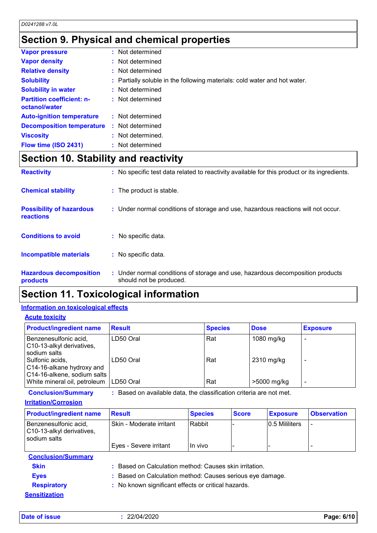# **Section 9. Physical and chemical properties**

| <b>Vapor pressure</b>                             | : Not determined                                                          |
|---------------------------------------------------|---------------------------------------------------------------------------|
| <b>Vapor density</b>                              | : Not determined                                                          |
| <b>Relative density</b>                           | : Not determined                                                          |
| <b>Solubility</b>                                 | : Partially soluble in the following materials: cold water and hot water. |
| <b>Solubility in water</b>                        | : Not determined                                                          |
| <b>Partition coefficient: n-</b><br>octanol/water | : Not determined                                                          |
| <b>Auto-ignition temperature</b>                  | : Not determined                                                          |
| <b>Decomposition temperature</b>                  | : Not determined                                                          |
| <b>Viscosity</b>                                  | : Not determined.                                                         |
| Flow time (ISO 2431)                              | : Not determined                                                          |

# **Section 10. Stability and reactivity**

| <b>Reactivity</b>                                   | : No specific test data related to reactivity available for this product or its ingredients.              |
|-----------------------------------------------------|-----------------------------------------------------------------------------------------------------------|
| <b>Chemical stability</b>                           | : The product is stable.                                                                                  |
| <b>Possibility of hazardous</b><br><b>reactions</b> | : Under normal conditions of storage and use, hazardous reactions will not occur.                         |
| <b>Conditions to avoid</b>                          | : No specific data.                                                                                       |
| <b>Incompatible materials</b>                       | : No specific data.                                                                                       |
| <b>Hazardous decomposition</b><br>products          | : Under normal conditions of storage and use, hazardous decomposition products<br>should not be produced. |

# **Section 11. Toxicological information**

## **Information on toxicological effects**

## **Acute toxicity**

| <b>Product/ingredient name</b>                                              | <b>Result</b> | <b>Species</b> | <b>Dose</b> | <b>Exposure</b> |
|-----------------------------------------------------------------------------|---------------|----------------|-------------|-----------------|
| Benzenesulfonic acid,<br>C10-13-alkyl derivatives,<br>sodium salts          | LD50 Oral     | Rat            | 1080 mg/kg  |                 |
| Sulfonic acids,<br>C14-16-alkane hydroxy and<br>C14-16-alkene, sodium salts | LD50 Oral     | Rat            | 2310 mg/kg  |                 |
| White mineral oil, petroleum                                                | LD50 Oral     | Rat            | >5000 mg/kg | -               |

**Conclusion/Summary :** Based on available data, the classification criteria are not met.

### **Irritation/Corrosion**

| <b>Product/ingredient name</b>                                     | <b>Result</b>                                             | <b>Species</b> | <b>Score</b> | <b>Exposure</b> | <b>Observation</b> |
|--------------------------------------------------------------------|-----------------------------------------------------------|----------------|--------------|-----------------|--------------------|
| Benzenesulfonic acid,<br>C10-13-alkyl derivatives,<br>sodium salts | Skin - Moderate irritant                                  | Rabbit         |              | 0.5 Mililiters  |                    |
|                                                                    | Eyes - Severe irritant                                    | In vivo        |              |                 |                    |
| <b>Conclusion/Summary</b>                                          |                                                           |                |              |                 |                    |
| <b>Skin</b>                                                        | : Based on Calculation method: Causes skin irritation.    |                |              |                 |                    |
| <b>Eyes</b>                                                        | : Based on Calculation method: Causes serious eye damage. |                |              |                 |                    |
| <b>Respiratory</b>                                                 | : No known significant effects or critical hazards.       |                |              |                 |                    |
| <b>Sensitization</b>                                               |                                                           |                |              |                 |                    |

**Date of issue :** 22/04/2020 **Page: 6/10**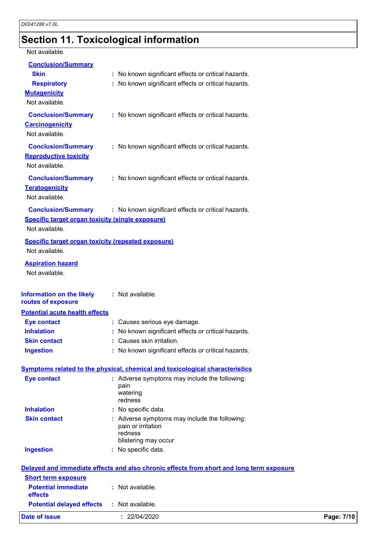# **Section 11. Toxicological information**

Not available.

| <b>Conclusion/Summary</b>                                 |                                                                                          |            |
|-----------------------------------------------------------|------------------------------------------------------------------------------------------|------------|
| <b>Skin</b>                                               | : No known significant effects or critical hazards.                                      |            |
| <b>Respiratory</b>                                        | No known significant effects or critical hazards.                                        |            |
| <b>Mutagenicity</b>                                       |                                                                                          |            |
| Not available.                                            |                                                                                          |            |
| <b>Conclusion/Summary</b>                                 | : No known significant effects or critical hazards.                                      |            |
| <b>Carcinogenicity</b>                                    |                                                                                          |            |
| Not available.                                            |                                                                                          |            |
| <b>Conclusion/Summary</b>                                 | : No known significant effects or critical hazards.                                      |            |
| <b>Reproductive toxicity</b>                              |                                                                                          |            |
| Not available.                                            |                                                                                          |            |
| <b>Conclusion/Summary</b>                                 | : No known significant effects or critical hazards.                                      |            |
| <b>Teratogenicity</b>                                     |                                                                                          |            |
| Not available.                                            |                                                                                          |            |
| <b>Conclusion/Summary</b>                                 | : No known significant effects or critical hazards.                                      |            |
| <b>Specific target organ toxicity (single exposure)</b>   |                                                                                          |            |
| Not available.                                            |                                                                                          |            |
| <b>Specific target organ toxicity (repeated exposure)</b> |                                                                                          |            |
| Not available.                                            |                                                                                          |            |
| <b>Aspiration hazard</b>                                  |                                                                                          |            |
| Not available.                                            |                                                                                          |            |
|                                                           |                                                                                          |            |
| <b>Information on the likely</b>                          | : Not available.                                                                         |            |
| routes of exposure                                        |                                                                                          |            |
| <b>Potential acute health effects</b>                     |                                                                                          |            |
| <b>Eye contact</b>                                        | : Causes serious eye damage.                                                             |            |
| <b>Inhalation</b>                                         | : No known significant effects or critical hazards.                                      |            |
| <b>Skin contact</b>                                       | Causes skin irritation.                                                                  |            |
| <b>Ingestion</b>                                          | : No known significant effects or critical hazards.                                      |            |
|                                                           | <b>Symptoms related to the physical, chemical and toxicological characteristics</b>      |            |
| <b>Eye contact</b>                                        | : Adverse symptoms may include the following:                                            |            |
|                                                           | pain                                                                                     |            |
|                                                           | watering                                                                                 |            |
| <b>Inhalation</b>                                         | redness<br>: No specific data.                                                           |            |
| <b>Skin contact</b>                                       | : Adverse symptoms may include the following:                                            |            |
|                                                           | pain or irritation                                                                       |            |
|                                                           | redness                                                                                  |            |
|                                                           | blistering may occur                                                                     |            |
| <b>Ingestion</b>                                          | : No specific data.                                                                      |            |
|                                                           | Delayed and immediate effects and also chronic effects from short and long term exposure |            |
| <b>Short term exposure</b>                                |                                                                                          |            |
| <b>Potential immediate</b>                                | : Not available.                                                                         |            |
| effects                                                   |                                                                                          |            |
| <b>Potential delayed effects</b>                          | : Not available.                                                                         |            |
| <b>Date of issue</b>                                      | : 22/04/2020                                                                             | Page: 7/10 |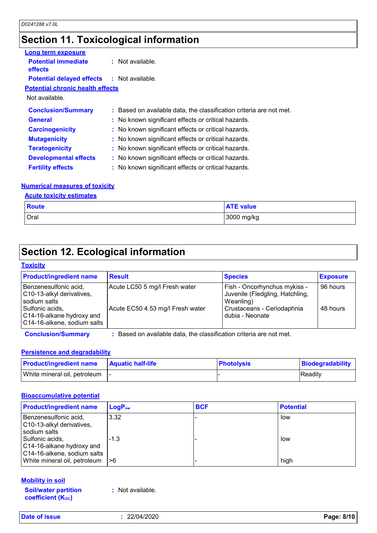# **Section 11. Toxicological information**

| Long term exposure                                |                                                                     |  |
|---------------------------------------------------|---------------------------------------------------------------------|--|
| <b>Potential immediate</b><br><b>effects</b>      | : Not available.                                                    |  |
| <b>Potential delayed effects : Not available.</b> |                                                                     |  |
| <b>Potential chronic health effects</b>           |                                                                     |  |
| Not available.                                    |                                                                     |  |
| <b>Conclusion/Summary</b>                         | : Based on available data, the classification criteria are not met. |  |
| <b>General</b>                                    | : No known significant effects or critical hazards.                 |  |
| <b>Carcinogenicity</b>                            | : No known significant effects or critical hazards.                 |  |
| <b>Mutagenicity</b>                               | : No known significant effects or critical hazards.                 |  |
| <b>Teratogenicity</b>                             | : No known significant effects or critical hazards.                 |  |
| <b>Developmental effects</b>                      | : No known significant effects or critical hazards.                 |  |
| <b>Fertility effects</b>                          | : No known significant effects or critical hazards.                 |  |
|                                                   |                                                                     |  |

## **Numerical measures of toxicity**

## **Acute toxicity estimates**

| <b>Route</b> | <b>ATE value</b> |
|--------------|------------------|
| Oral         | 3000 mg/kg       |

# **Section 12. Ecological information**

#### **Toxicity**

| <b>Product/ingredient name</b>                                              | <b>Result</b>                    | <b>Species</b>                                                               | <b>Exposure</b> |
|-----------------------------------------------------------------------------|----------------------------------|------------------------------------------------------------------------------|-----------------|
| Benzenesulfonic acid,<br>C10-13-alkyl derivatives,<br>sodium salts          | Acute LC50 5 mg/l Fresh water    | Fish - Oncorhynchus mykiss -<br>Juvenile (Fledgling, Hatchling,<br>Weanling) | 96 hours        |
| Sulfonic acids,<br>C14-16-alkane hydroxy and<br>C14-16-alkene, sodium salts | Acute EC50 4.53 mg/l Fresh water | Crustaceans - Ceriodaphnia<br>dubia - Neonate                                | 48 hours        |

**Conclusion/Summary :** Based on available data, the classification criteria are not met.

## **Persistence and degradability**

| <b>Product/ingredient name</b>  | <b>Aquatic half-life</b> | <b>Photolysis</b> | Biodegradability |
|---------------------------------|--------------------------|-------------------|------------------|
| White mineral oil, petroleum  - |                          |                   | <b>IReadily</b>  |

## **Bioaccumulative potential**

| <b>Product/ingredient name</b>                                              | $LogP_{ow}$ | <b>BCF</b> | <b>Potential</b> |
|-----------------------------------------------------------------------------|-------------|------------|------------------|
| Benzenesulfonic acid,<br>C10-13-alkyl derivatives,<br>sodium salts          | 3.32        |            | low              |
| Sulfonic acids,<br>C14-16-alkane hydroxy and<br>C14-16-alkene, sodium salts | $-1.3$      |            | low              |
| White mineral oil, petroleum $ >6$                                          |             |            | high             |

## **Mobility in soil**

**Soil/water partition coefficient (KOC)**

**:** Not available.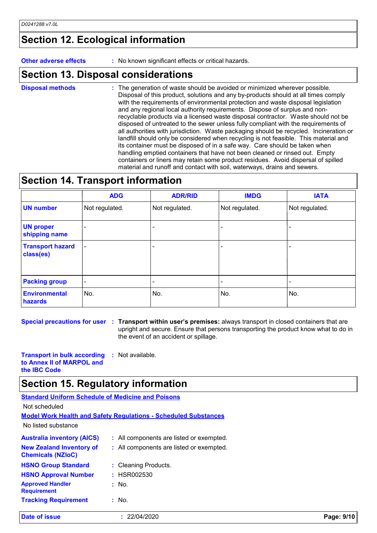## **Section 12. Ecological information**

**Other adverse effects** : No known significant effects or critical hazards.

## **Section 13. Disposal considerations**

The generation of waste should be avoided or minimized wherever possible. Disposal of this product, solutions and any by-products should at all times comply with the requirements of environmental protection and waste disposal legislation and any regional local authority requirements. Dispose of surplus and nonrecyclable products via a licensed waste disposal contractor. Waste should not be disposed of untreated to the sewer unless fully compliant with the requirements of all authorities with jurisdiction. Waste packaging should be recycled. Incineration or landfill should only be considered when recycling is not feasible. This material and its container must be disposed of in a safe way. Care should be taken when handling emptied containers that have not been cleaned or rinsed out. Empty containers or liners may retain some product residues. Avoid dispersal of spilled material and runoff and contact with soil, waterways, drains and sewers. **Disposal methods :**

## **Section 14. Transport information**

|                                      | <b>ADG</b>               | <b>ADR/RID</b>           | <b>IMDG</b>              | <b>IATA</b>    |
|--------------------------------------|--------------------------|--------------------------|--------------------------|----------------|
| <b>UN number</b>                     | Not regulated.           | Not regulated.           | Not regulated.           | Not regulated. |
| <b>UN proper</b><br>shipping name    | $\overline{\phantom{a}}$ |                          |                          |                |
| <b>Transport hazard</b><br>class(es) | $\overline{\phantom{a}}$ | $\overline{\phantom{0}}$ | $\overline{\phantom{a}}$ |                |
| <b>Packing group</b>                 | $\overline{\phantom{a}}$ | $\overline{\phantom{0}}$ |                          |                |
| <b>Environmental</b><br>hazards      | No.                      | No.                      | No.                      | No.            |

**Special precautions for user** : Transport within user's premises: always transport in closed containers that are upright and secure. Ensure that persons transporting the product know what to do in the event of an accident or spillage.

**Transport in bulk according to Annex II of MARPOL and the IBC Code :** Not available.

## **Section 15. Regulatory information**

| <b>Standard Uniform Schedule of Medicine and Poisons</b>    |                                                                        |
|-------------------------------------------------------------|------------------------------------------------------------------------|
| Not scheduled                                               |                                                                        |
|                                                             | <b>Model Work Health and Safety Requiations - Scheduled Substances</b> |
| No listed substance                                         |                                                                        |
| <b>Australia inventory (AICS)</b>                           | : All components are listed or exempted.                               |
| <b>New Zealand Inventory of</b><br><b>Chemicals (NZIoC)</b> | : All components are listed or exempted.                               |
| <b>HSNO Group Standard</b>                                  | : Cleaning Products.                                                   |
| <b>HSNO Approval Number</b>                                 | : HSR002530                                                            |
| <b>Approved Handler</b><br><b>Requirement</b>               | $:$ No.                                                                |
| <b>Tracking Requirement</b>                                 | $\therefore$ No.                                                       |

**Date of issue :** 22/04/2020 **Page: 9/10**